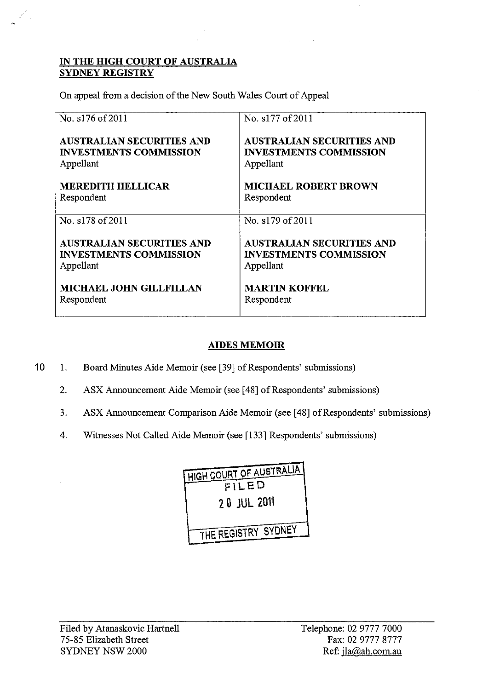### IN THE HIGH COURT OF AUSTRALIA SYDNEY REGISTRY

On appeal from a decision of the New South Wales Court of Appeal

| No. s176 of 2011                 | No. s177 of 2011                 |
|----------------------------------|----------------------------------|
| <b>AUSTRALIAN SECURITIES AND</b> | <b>AUSTRALIAN SECURITIES AND</b> |
| <b>INVESTMENTS COMMISSION</b>    | <b>INVESTMENTS COMMISSION</b>    |
| Appellant                        | Appellant                        |
| <b>MEREDITH HELLICAR</b>         | <b>MICHAEL ROBERT BROWN</b>      |
| Respondent                       | Respondent                       |
| No. s178 of 2011                 | No. s179 of 2011                 |
| <b>AUSTRALIAN SECURITIES AND</b> | <b>AUSTRALIAN SECURITIES AND</b> |
| <b>INVESTMENTS COMMISSION</b>    | <b>INVESTMENTS COMMISSION</b>    |
| Appellant                        | Appellant                        |
| <b>MICHAEL JOHN GILLFILLAN</b>   | <b>MARTIN KOFFEL</b>             |
| Respondent                       | Respondent                       |

# AIDES MEMOIR

- 10 1. Board Minutes Aide Memoir (see [39] of Respondents' submissions)
	- 2. ASX Announcement Aide Memoir (see [48] of Respondents' submissions)
	- 3. ASX Announcement Comparison Aide Memoir (see [48] of Respondents' submissions)
	- 4. Witnesses Not Called Aide Memoir (see [133] Respondents' submissions)

| HIGH COURT OF AUSTRALIA |
|-------------------------|
| FILED                   |
| <b>20 JUL 2011</b>      |
| THE REGISTRY SYDNEY     |
|                         |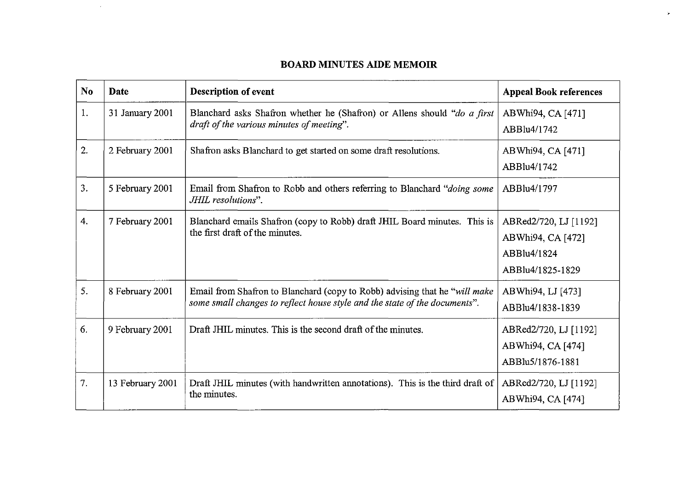### **BOARD MINUTES AIDE MEMOIR**

 $\mathcal{P}^{\prime}$ 

 $\sim 10^6$ 

| N <sub>0</sub> | Date             | <b>Description of event</b>                                                                                                                              | <b>Appeal Book references</b>                                                 |
|----------------|------------------|----------------------------------------------------------------------------------------------------------------------------------------------------------|-------------------------------------------------------------------------------|
| 1.             | 31 January 2001  | Blanchard asks Shafron whether he (Shafron) or Allens should "do a first<br>draft of the various minutes of meeting".                                    | ABWhi94, CA [471]<br>ABBlu4/1742                                              |
| 2.             | 2 February 2001  | Shafron asks Blanchard to get started on some draft resolutions.                                                                                         | ABWhi94, CA [471]<br>ABBlu4/1742                                              |
| 3.             | 5 February 2001  | Email from Shafron to Robb and others referring to Blanchard "doing some<br>JHIL resolutions".                                                           | ABBlu4/1797                                                                   |
| 4.             | 7 February 2001  | Blanchard emails Shafron (copy to Robb) draft JHIL Board minutes. This is<br>the first draft of the minutes.                                             | ABRed2/720, LJ [1192]<br>ABWhi94, CA [472]<br>ABBlu4/1824<br>ABBlu4/1825-1829 |
| 5.             | 8 February 2001  | Email from Shafron to Blanchard (copy to Robb) advising that he "will make<br>some small changes to reflect house style and the state of the documents". | ABWhi94, LJ [473]<br>ABBlu4/1838-1839                                         |
| 6.             | 9 February 2001  | Draft JHIL minutes. This is the second draft of the minutes.                                                                                             | ABRed2/720, LJ [1192]<br>ABWhi94, CA [474]<br>ABBlu5/1876-1881                |
| 7.             | 13 February 2001 | Draft JHIL minutes (with handwritten annotations). This is the third draft of<br>the minutes.                                                            | ABRed2/720, LJ [1192]<br>ABWhi94, CA [474]                                    |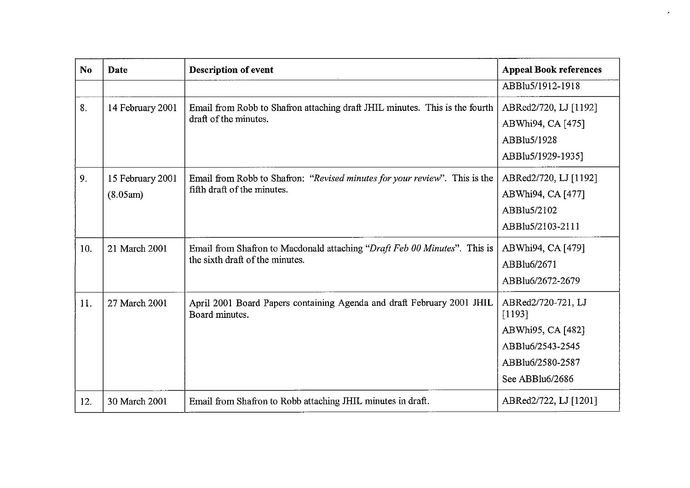| N <sub>o</sub> | <b>Date</b>                  | <b>Description of event</b>                                                                                  | <b>Appeal Book references</b>                                                                                |
|----------------|------------------------------|--------------------------------------------------------------------------------------------------------------|--------------------------------------------------------------------------------------------------------------|
|                |                              |                                                                                                              | ABBlu5/1912-1918                                                                                             |
| 8.             | 14 February 2001             | Email from Robb to Shafron attaching draft JHIL minutes. This is the fourth<br>draft of the minutes.         | ABRed2/720, LJ [1192]<br>ABWhi94, CA [475]<br>ABBlu5/1928<br>ABBlu5/1929-1935]                               |
| 9.             | 15 February 2001<br>(8.05am) | Email from Robb to Shafron: "Revised minutes for your review". This is the<br>fifth draft of the minutes.    | ABRed2/720, LJ [1192]<br>ABWhi94, CA [477]<br>ABBlu5/2102<br>ABBlu5/2103-2111                                |
| 10.            | 21 March 2001                | Email from Shafron to Macdonald attaching "Draft Feb 00 Minutes". This is<br>the sixth draft of the minutes. | ABWhi94, CA [479]<br>ABBlu6/2671<br>ABBlu6/2672-2679                                                         |
| 11.            | 27 March 2001                | April 2001 Board Papers containing Agenda and draft February 2001 JHIL<br>Board minutes.                     | ABRed2/720-721, LJ<br>[1193]<br>ABWhi95, CA [482]<br>ABBlu6/2543-2545<br>ABBlu6/2580-2587<br>See ABBlu6/2686 |
| 12.            | 30 March 2001                | Email from Shafron to Robb attaching JHIL minutes in draft.                                                  | ABRed2/722, LJ [1201]                                                                                        |

 $\epsilon$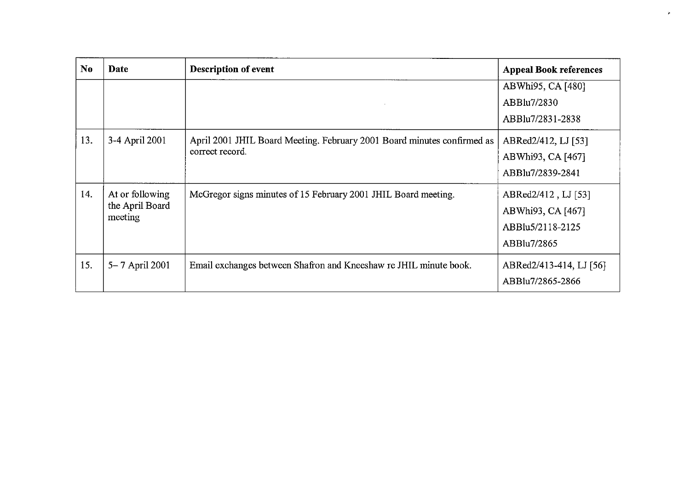| N <sub>0</sub> | Date                                          | <b>Description of event</b>                                                                | <b>Appeal Book references</b>                                               |
|----------------|-----------------------------------------------|--------------------------------------------------------------------------------------------|-----------------------------------------------------------------------------|
|                |                                               |                                                                                            | ABWhi95, CA [480]<br>ABBlu7/2830<br>ABBlu7/2831-2838                        |
| 13.            | 3-4 April 2001                                | April 2001 JHIL Board Meeting. February 2001 Board minutes confirmed as<br>correct record. | ABRed2/412, LJ [53]<br>ABWhi93, CA [467]<br>ABBlu7/2839-2841                |
| 14.            | At or following<br>the April Board<br>meeting | McGregor signs minutes of 15 February 2001 JHIL Board meeting.                             | ABRed2/412, LJ [53]<br>ABWhi93, CA [467]<br>ABBlu5/2118-2125<br>ABBlu7/2865 |
| 15.            | 5–7 April 2001                                | Email exchanges between Shafron and Kneeshaw re JHIL minute book.                          | ABRed2/413-414, LJ [56]<br>ABBlu7/2865-2866                                 |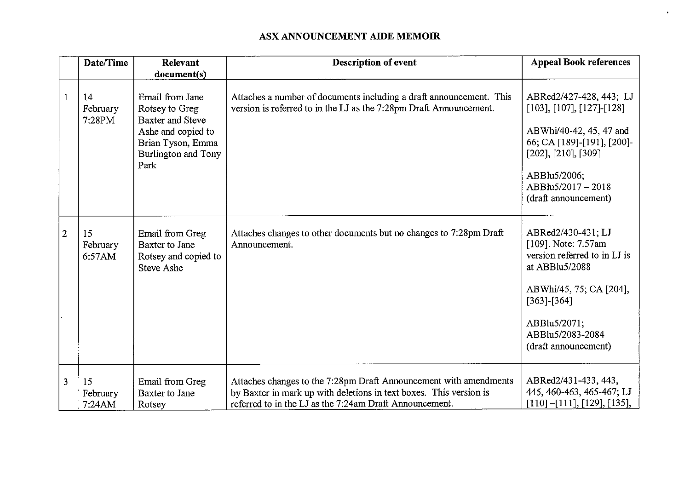### ASX ANNOUNCEMENT AIDE MEMOIR

|                | Date/Time                | Relevant<br>document(s)                                                                                                                | Description of event                                                                                                                                                                               | <b>Appeal Book references</b>                                                                                                                                                                               |
|----------------|--------------------------|----------------------------------------------------------------------------------------------------------------------------------------|----------------------------------------------------------------------------------------------------------------------------------------------------------------------------------------------------|-------------------------------------------------------------------------------------------------------------------------------------------------------------------------------------------------------------|
|                | 14<br>February<br>7:28PM | Email from Jane<br>Rotsey to Greg<br><b>Baxter and Steve</b><br>Ashe and copied to<br>Brian Tyson, Emma<br>Burlington and Tony<br>Park | Attaches a number of documents including a draft announcement. This<br>version is referred to in the LJ as the 7:28pm Draft Announcement.                                                          | ABRed2/427-428, 443; LJ<br>$[103], [107], [127]$ -[128]<br>ABWhi/40-42, 45, 47 and<br>66; CA [189]-[191], [200]-<br>$[202]$ , $[210]$ , $[309]$<br>ABBlu5/2006;<br>ABBlu5/2017-2018<br>(draft announcement) |
| $\overline{2}$ | 15<br>February<br>6:57AM | Email from Greg<br>Baxter to Jane<br>Rotsey and copied to<br><b>Steve Ashe</b>                                                         | Attaches changes to other documents but no changes to 7:28pm Draft<br>Announcement.                                                                                                                | ABRed2/430-431; LJ<br>[109]. Note: 7.57am<br>version referred to in LJ is<br>at ABBlu5/2088<br>ABWhi/45, 75; CA [204],<br>$[363]$ - $[364]$<br>ABBlu5/2071;<br>ABBlu5/2083-2084<br>(draft announcement)     |
| 3              | 15<br>February<br>7:24AM | Email from Greg<br>Baxter to Jane<br>Rotsey                                                                                            | Attaches changes to the 7:28pm Draft Announcement with amendments<br>by Baxter in mark up with deletions in text boxes. This version is<br>referred to in the LJ as the 7:24am Draft Announcement. | ABRed2/431-433, 443,<br>445, 460-463, 465-467; LJ<br>$[110]-[111], [129], [135],$                                                                                                                           |

 $\sim$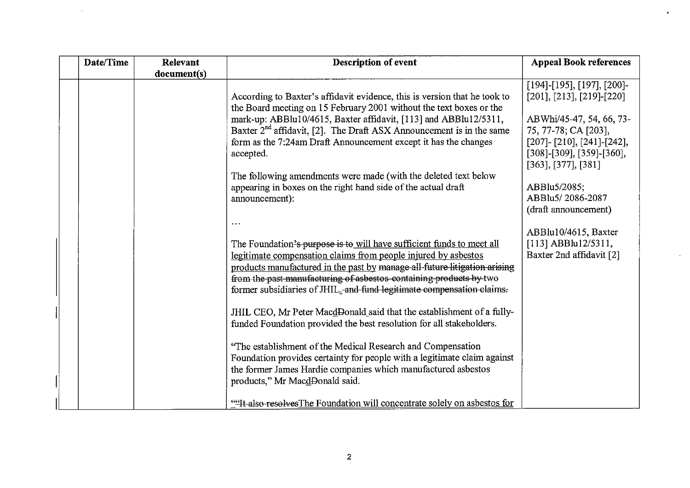| Date/Time | Relevant    | Description of event                                                                                                                                                                                                                                                                                                                                                              | <b>Appeal Book references</b>                                                                                                                                                                                               |
|-----------|-------------|-----------------------------------------------------------------------------------------------------------------------------------------------------------------------------------------------------------------------------------------------------------------------------------------------------------------------------------------------------------------------------------|-----------------------------------------------------------------------------------------------------------------------------------------------------------------------------------------------------------------------------|
|           | document(s) |                                                                                                                                                                                                                                                                                                                                                                                   |                                                                                                                                                                                                                             |
|           |             | According to Baxter's affidavit evidence, this is version that he took to<br>the Board meeting on 15 February 2001 without the text boxes or the<br>mark-up: ABBlu10/4615, Baxter affidavit, [113] and ABBlu12/5311,<br>Baxter $2^{nd}$ affidavit, [2]. The Draft ASX Announcement is in the same<br>form as the 7:24am Draft Announcement except it has the changes<br>accepted. | $[194]$ -[195], [197], [200]-<br>$[201]$ , $[213]$ , $[219]$ - $[220]$<br>ABWhi/45-47, 54, 66, 73-<br>75, 77-78; CA [203],<br>$[207]$ - $[210]$ , $[241]$ - $[242]$ ,<br>$[308]-[309], [359]-[360],$<br>[363], [377], [381] |
|           |             | The following amendments were made (with the deleted text below<br>appearing in boxes on the right hand side of the actual draft<br>announcement):                                                                                                                                                                                                                                | ABBlu5/2085;<br>ABBlu5/2086-2087<br>(draft announcement)                                                                                                                                                                    |
|           |             | $\sim$ $\sim$                                                                                                                                                                                                                                                                                                                                                                     | ABBlu10/4615, Baxter                                                                                                                                                                                                        |
|           |             | The Foundation's purpose is to will have sufficient funds to meet all                                                                                                                                                                                                                                                                                                             | [113] ABBlu12/5311,                                                                                                                                                                                                         |
|           |             | legitimate compensation claims from people injured by asbestos<br>products manufactured in the past by manage all-future litigation arising<br>from the past manufacturing of asbestos-containing products by two<br>former subsidiaries of JHIL <sub>2</sub> -and-fund-legitimate compensation-claims.                                                                           | Baxter 2nd affidavit [2]                                                                                                                                                                                                    |
|           |             | JHIL CEO, Mr Peter MacdDonald said that the establishment of a fully-<br>funded Foundation provided the best resolution for all stakeholders.                                                                                                                                                                                                                                     |                                                                                                                                                                                                                             |
|           |             | "The establishment of the Medical Research and Compensation<br>Foundation provides certainty for people with a legitimate claim against<br>the former James Hardie companies which manufactured asbestos<br>products," Mr MacdDonald said.                                                                                                                                        |                                                                                                                                                                                                                             |
|           |             | "It also resolves The Foundation will concentrate solely on asbestos for                                                                                                                                                                                                                                                                                                          |                                                                                                                                                                                                                             |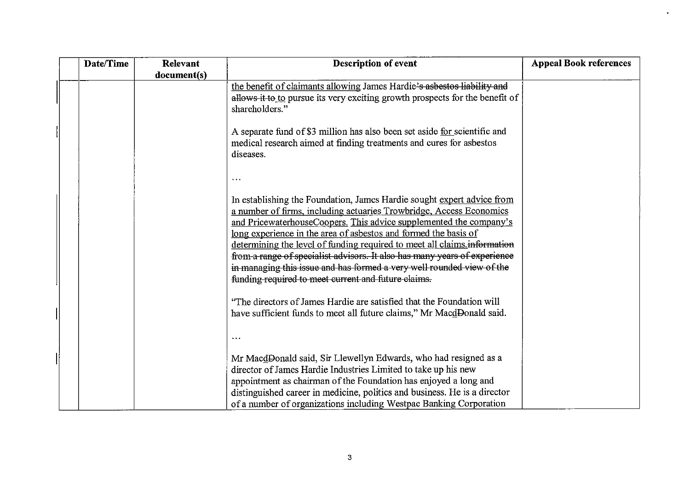| Date/Time | Relevant    | <b>Description of event</b>                                                                                                                                                                                                                                                                                                                                                                                                                                                                                                                                                     | <b>Appeal Book references</b> |
|-----------|-------------|---------------------------------------------------------------------------------------------------------------------------------------------------------------------------------------------------------------------------------------------------------------------------------------------------------------------------------------------------------------------------------------------------------------------------------------------------------------------------------------------------------------------------------------------------------------------------------|-------------------------------|
|           | document(s) |                                                                                                                                                                                                                                                                                                                                                                                                                                                                                                                                                                                 |                               |
|           |             | the benefit of claimants allowing James Hardie's asbestos liability and<br>allows it to to pursue its very exciting growth prospects for the benefit of<br>shareholders."                                                                                                                                                                                                                                                                                                                                                                                                       |                               |
|           |             | A separate fund of \$3 million has also been set aside for scientific and<br>medical research aimed at finding treatments and cures for asbestos<br>diseases.                                                                                                                                                                                                                                                                                                                                                                                                                   |                               |
|           |             |                                                                                                                                                                                                                                                                                                                                                                                                                                                                                                                                                                                 |                               |
|           |             | In establishing the Foundation, James Hardie sought expert advice from<br>a number of firms, including actuaries Trowbridge, Access Economics<br>and PricewaterhouseCoopers. This advice supplemented the company's<br>long experience in the area of asbestos and formed the basis of<br>determining the level of funding required to meet all claims information<br>from a range of specialist advisors. It also has many years of experience<br>in managing this issue and has formed a very well rounded view of the<br>funding-required to meet current and future-elaims. |                               |
|           |             | "The directors of James Hardie are satisfied that the Foundation will<br>have sufficient funds to meet all future claims," Mr MacdDonald said.                                                                                                                                                                                                                                                                                                                                                                                                                                  |                               |
|           |             | Mr MacdDonald said, Sir Llewellyn Edwards, who had resigned as a<br>director of James Hardie Industries Limited to take up his new<br>appointment as chairman of the Foundation has enjoyed a long and<br>distinguished career in medicine, politics and business. He is a director<br>of a number of organizations including Westpac Banking Corporation                                                                                                                                                                                                                       |                               |

 $\ddot{\phantom{0}}$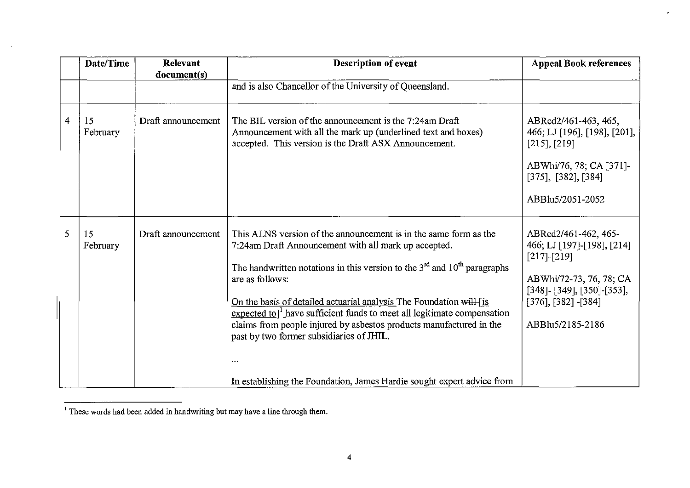|                | Date/Time      | Relevant<br>document(s) | <b>Description of event</b>                                                                                                                                                                                                                                                                                                                                                                                                                                                                                                                                                                                     | <b>Appeal Book references</b>                                                                                                                                                      |
|----------------|----------------|-------------------------|-----------------------------------------------------------------------------------------------------------------------------------------------------------------------------------------------------------------------------------------------------------------------------------------------------------------------------------------------------------------------------------------------------------------------------------------------------------------------------------------------------------------------------------------------------------------------------------------------------------------|------------------------------------------------------------------------------------------------------------------------------------------------------------------------------------|
|                |                |                         | and is also Chancellor of the University of Queensland.                                                                                                                                                                                                                                                                                                                                                                                                                                                                                                                                                         |                                                                                                                                                                                    |
| $\overline{4}$ | 15<br>February | Draft announcement      | The BIL version of the announcement is the 7:24am Draft<br>Announcement with all the mark up (underlined text and boxes)<br>accepted. This version is the Draft ASX Announcement.                                                                                                                                                                                                                                                                                                                                                                                                                               | ABRed2/461-463, 465,<br>466; LJ [196], [198], [201],<br>$[215]$ , $[219]$<br>ABWhi/76, 78; CA [371]-<br>$[375]$ , $[382]$ , $[384]$<br>ABBlu5/2051-2052                            |
| 5              | 15<br>February | Draft announcement      | This ALNS version of the announcement is in the same form as the<br>7:24am Draft Announcement with all mark up accepted.<br>The handwritten notations in this version to the $3rd$ and $10th$ paragraphs<br>are as follows:<br>On the basis of detailed actuarial analysis The Foundation will [is<br>$\frac{\text{expected to}}{\text{l}}$ have sufficient funds to meet all legitimate compensation<br>claims from people injured by asbestos products manufactured in the<br>past by two former subsidiaries of JHIL.<br>$\ddotsc$<br>In establishing the Foundation, James Hardie sought expert advice from | ABRed2/461-462, 465-<br>466; LJ [197]-[198], [214]<br>$[217]-[219]$<br>ABWhi/72-73, 76, 78; CA<br>$[348]$ - [349], [350]-[353],<br>$[376]$ , $[382]$ - $[384]$<br>ABBlu5/2185-2186 |

 $\bullet$ 

 $\sim 10^{-1}$ 

IThese words had been added in handwriting but may have a line through them.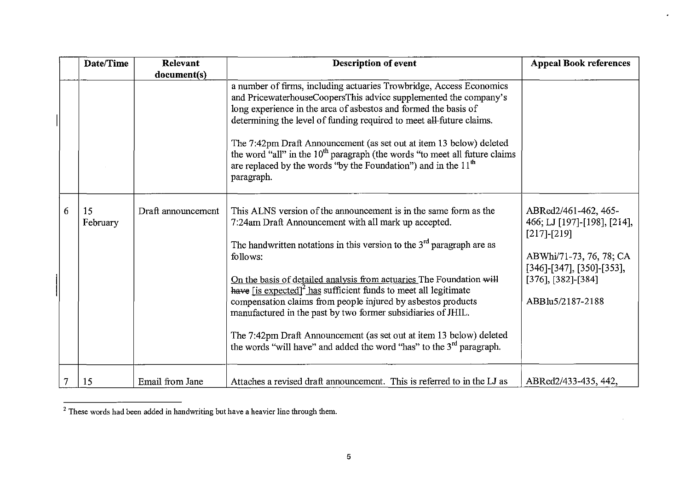|   | Date/Time      | <b>Relevant</b>    | <b>Description of event</b>                                                                                                                                                                                                                                                                                                                                                                                                                                                                                                                                                                                                                                          | <b>Appeal Book references</b>                                                                                                                                                      |
|---|----------------|--------------------|----------------------------------------------------------------------------------------------------------------------------------------------------------------------------------------------------------------------------------------------------------------------------------------------------------------------------------------------------------------------------------------------------------------------------------------------------------------------------------------------------------------------------------------------------------------------------------------------------------------------------------------------------------------------|------------------------------------------------------------------------------------------------------------------------------------------------------------------------------------|
|   |                | document(s)        |                                                                                                                                                                                                                                                                                                                                                                                                                                                                                                                                                                                                                                                                      |                                                                                                                                                                                    |
|   |                |                    | a number of firms, including actuaries Trowbridge, Access Economics<br>and PricewaterhouseCoopersThis advice supplemented the company's<br>long experience in the area of asbestos and formed the basis of<br>determining the level of funding required to meet all-future claims.<br>The 7:42pm Draft Announcement (as set out at item 13 below) deleted<br>the word "all" in the 10 <sup>th</sup> paragraph (the words "to meet all future claims<br>are replaced by the words "by the Foundation") and in the $11th$<br>paragraph.                                                                                                                                |                                                                                                                                                                                    |
| 6 | 15<br>February | Draft announcement | This ALNS version of the announcement is in the same form as the<br>7:24am Draft Announcement with all mark up accepted.<br>The handwritten notations in this version to the $3rd$ paragraph are as<br>follows:<br>On the basis of detailed analysis from actuaries The Foundation will<br>have $[$ is expected] <sup>2</sup> has sufficient funds to meet all legitimate<br>compensation claims from people injured by asbestos products<br>manufactured in the past by two former subsidiaries of JHIL.<br>The 7:42pm Draft Announcement (as set out at item 13 below) deleted<br>the words "will have" and added the word "has" to the 3 <sup>rd</sup> paragraph. | ABRed2/461-462, 465-<br>466; LJ [197]-[198], [214],<br>$[217]-[219]$<br>ABWhi/71-73, 76, 78; CA<br>$[346]$ -[347], [350]-[353],<br>$[376]$ , $[382]$ - $[384]$<br>ABBlu5/2187-2188 |
|   | 15             | Email from Jane    | Attaches a revised draft announcement. This is referred to in the LJ as                                                                                                                                                                                                                                                                                                                                                                                                                                                                                                                                                                                              | ABRed2/433-435, 442,                                                                                                                                                               |

ä,

 $\mathcal{A}^{\mathcal{A}}$ 

<sup>&</sup>lt;sup>2</sup> These words had been added in handwriting but have a heavier line through them.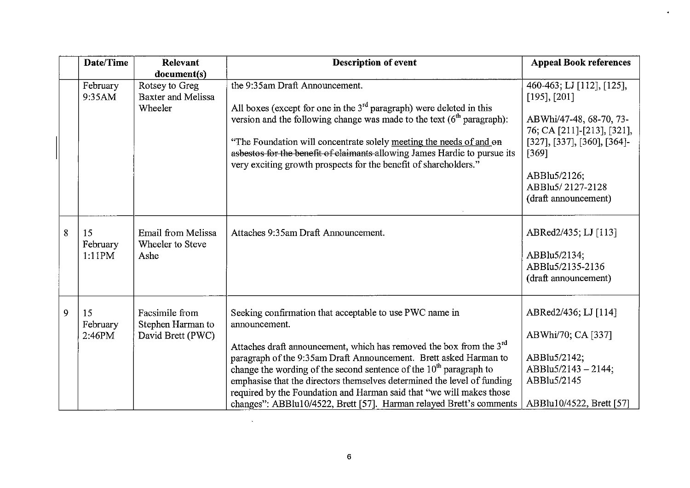| Date/Time                     | Relevant                                                 | <b>Description of event</b>                                                                                                                                                                                                                                                                                                                                                                                                                                                                                                        | <b>Appeal Book references</b>                                                                                                                                                                                |
|-------------------------------|----------------------------------------------------------|------------------------------------------------------------------------------------------------------------------------------------------------------------------------------------------------------------------------------------------------------------------------------------------------------------------------------------------------------------------------------------------------------------------------------------------------------------------------------------------------------------------------------------|--------------------------------------------------------------------------------------------------------------------------------------------------------------------------------------------------------------|
|                               | document(s)                                              |                                                                                                                                                                                                                                                                                                                                                                                                                                                                                                                                    |                                                                                                                                                                                                              |
| February<br>9:35AM            | Rotsey to Greg<br>Baxter and Melissa<br>Wheeler          | the 9:35am Draft Announcement.<br>All boxes (except for one in the $3rd$ paragraph) were deleted in this<br>version and the following change was made to the text $(6th$ paragraph):<br>"The Foundation will concentrate solely meeting the needs of and on<br>asbestos for the benefit of claimants allowing James Hardie to pursue its<br>very exciting growth prospects for the benefit of shareholders."                                                                                                                       | 460-463; LJ [112], [125],<br>$[195]$ , $[201]$<br>ABWhi/47-48, 68-70, 73-<br>76; CA [211]-[213], [321],<br>[327], [337], [360], [364]<br>$[369]$<br>ABBlu5/2126;<br>ABBlu5/2127-2128<br>(draft announcement) |
| 8<br>15<br>February<br>1:11PM | Email from Melissa<br>Wheeler to Steve<br>Ashe           | Attaches 9:35am Draft Announcement.                                                                                                                                                                                                                                                                                                                                                                                                                                                                                                | ABRed2/435; LJ [113]<br>ABBlu5/2134;<br>ABBlu5/2135-2136<br>(draft announcement)                                                                                                                             |
| 9<br>15<br>February<br>2:46PM | Facsimile from<br>Stephen Harman to<br>David Brett (PWC) | Seeking confirmation that acceptable to use PWC name in<br>announcement.<br>Attaches draft announcement, which has removed the box from the 3 <sup>rd</sup><br>paragraph of the 9:35am Draft Announcement. Brett asked Harman to<br>change the wording of the second sentence of the $10th$ paragraph to<br>emphasise that the directors themselves determined the level of funding<br>required by the Foundation and Harman said that "we will makes those<br>changes": ABBlu10/4522, Brett [57]. Harman relayed Brett's comments | ABRed2/436; LJ [114]<br>ABWhi/70; CA [337]<br>ABBlu5/2142;<br>ABBlu5/2143 - 2144;<br>ABBlu5/2145<br>ABBlu10/4522, Brett [57]                                                                                 |

ä.

 $\mathcal{L}^{\text{max}}_{\text{max}}$  , where  $\mathcal{L}^{\text{max}}_{\text{max}}$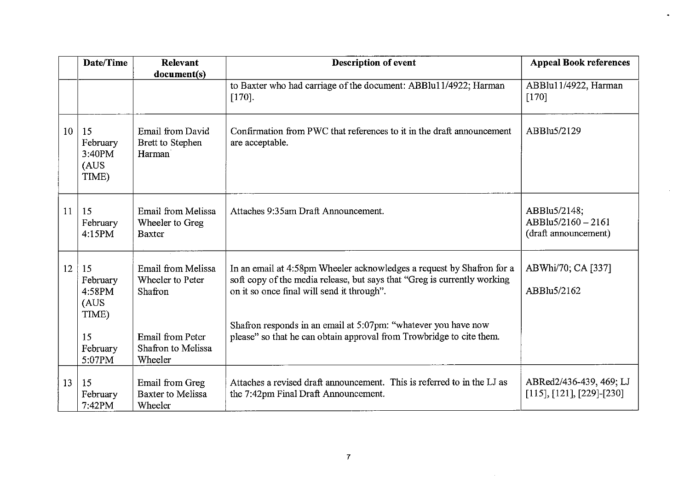|    | Date/Time                                                              | <b>Relevant</b>                                                                                        | Description of event                                                                                                                                                                                                                                                                                                                      | <b>Appeal Book references</b>                                |
|----|------------------------------------------------------------------------|--------------------------------------------------------------------------------------------------------|-------------------------------------------------------------------------------------------------------------------------------------------------------------------------------------------------------------------------------------------------------------------------------------------------------------------------------------------|--------------------------------------------------------------|
|    |                                                                        | document(s)                                                                                            | to Baxter who had carriage of the document: ABBlu11/4922; Harman<br>$[170]$ .                                                                                                                                                                                                                                                             | ABBlu11/4922, Harman<br>$[170]$                              |
| 10 | 15<br>February<br>3:40PM<br>(AUS)<br>TIME)                             | Email from David<br>Brett to Stephen<br>Harman                                                         | Confirmation from PWC that references to it in the draft announcement<br>are acceptable.                                                                                                                                                                                                                                                  | ABBlu5/2129                                                  |
| 11 | 15<br>February<br>4:15PM                                               | Email from Melissa<br>Wheeler to Greg<br><b>Baxter</b>                                                 | Attaches 9:35am Draft Announcement.                                                                                                                                                                                                                                                                                                       | ABBlu5/2148;<br>$ABBlu5/2160 - 2161$<br>(draft announcement) |
| 12 | 15<br>February<br>4:58PM<br>(AUS)<br>TIME)<br>15<br>February<br>5:07PM | Email from Melissa<br>Wheeler to Peter<br>Shafron<br>Email from Peter<br>Shafron to Melissa<br>Wheeler | In an email at 4:58pm Wheeler acknowledges a request by Shafron for a<br>soft copy of the media release, but says that "Greg is currently working<br>on it so once final will send it through".<br>Shafron responds in an email at 5:07pm: "whatever you have now<br>please" so that he can obtain approval from Trowbridge to cite them. | ABWhi/70, CA [337]<br>ABBlu5/2162                            |
| 13 | 15<br>February<br>7:42PM                                               | Email from Greg<br>Baxter to Melissa<br>Wheeler                                                        | Attaches a revised draft announcement. This is referred to in the LJ as<br>the 7:42pm Final Draft Announcement.                                                                                                                                                                                                                           | ABRed2/436-439, 469; LJ<br>$[115], [121], [229]$ -[230]      |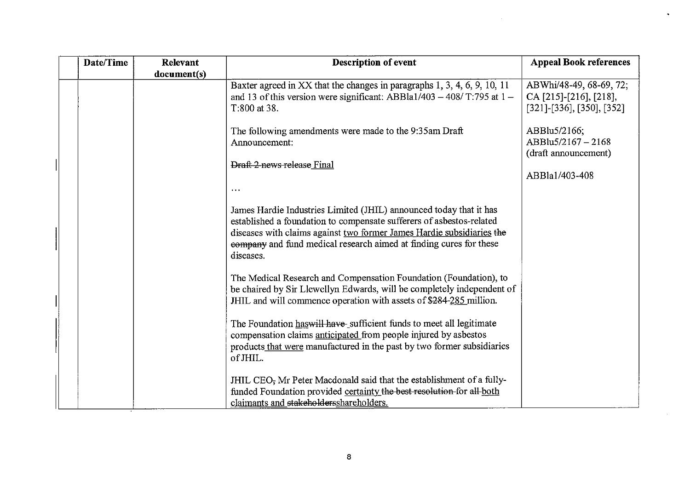| Date/Time | Relevant    | <b>Description of event</b>                                                                                                                                                                                                                                                                            | <b>Appeal Book references</b>                                                     |
|-----------|-------------|--------------------------------------------------------------------------------------------------------------------------------------------------------------------------------------------------------------------------------------------------------------------------------------------------------|-----------------------------------------------------------------------------------|
|           | document(s) | Baxter agreed in XX that the changes in paragraphs 1, 3, 4, 6, 9, 10, 11<br>and 13 of this version were significant: ABBla1/403 - 408/ T:795 at $1 -$<br>T:800 at 38.                                                                                                                                  | ABWhi/48-49, 68-69, 72;<br>CA [215]-[216], [218],<br>$[321]$ -[336], [350], [352] |
|           |             | The following amendments were made to the 9:35am Draft<br>Announcement:                                                                                                                                                                                                                                | ABBlu5/2166;<br>ABBlu5/2167-2168<br>(draft announcement)                          |
|           |             | Draft 2 news release Final                                                                                                                                                                                                                                                                             | ABBla1/403-408                                                                    |
|           |             | $\ddotsc$                                                                                                                                                                                                                                                                                              |                                                                                   |
|           |             | James Hardie Industries Limited (JHIL) announced today that it has<br>established a foundation to compensate sufferers of asbestos-related<br>diseases with claims against two former James Hardie subsidiaries the<br>company and fund medical research aimed at finding cures for these<br>diseases. |                                                                                   |
|           |             | The Medical Research and Compensation Foundation (Foundation), to<br>be chaired by Sir Llewellyn Edwards, will be completely independent of<br>JHIL and will commence operation with assets of \$284-285 million.                                                                                      |                                                                                   |
|           |             | The Foundation has will have sufficient funds to meet all legitimate<br>compensation claims anticipated from people injured by asbestos<br>products that were manufactured in the past by two former subsidiaries<br>of JHIL.                                                                          |                                                                                   |
|           |             | JHIL CEO <sub>7</sub> Mr Peter Macdonald said that the establishment of a fully-<br>funded Foundation provided certainty the best resolution for all-both<br>claimants and stakeholdersshareholders.                                                                                                   |                                                                                   |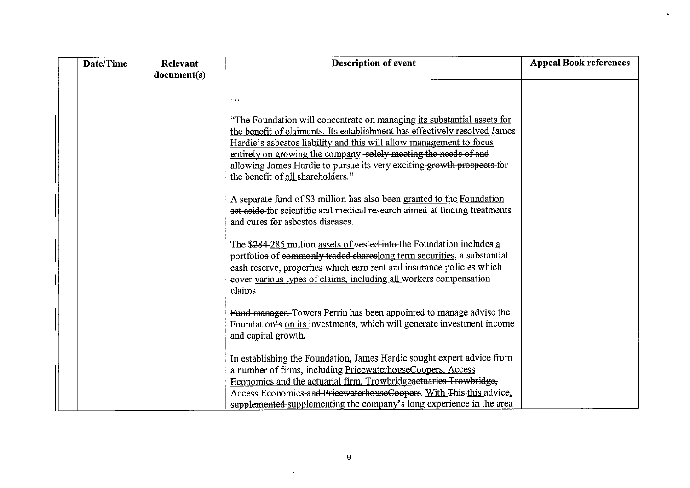| Date/Time | Relevant    | <b>Description of event</b>                                                                                                                                                                                                                                                                                                                                                                                    | <b>Appeal Book references</b> |
|-----------|-------------|----------------------------------------------------------------------------------------------------------------------------------------------------------------------------------------------------------------------------------------------------------------------------------------------------------------------------------------------------------------------------------------------------------------|-------------------------------|
|           | document(s) |                                                                                                                                                                                                                                                                                                                                                                                                                |                               |
|           |             | $\ddotsc$                                                                                                                                                                                                                                                                                                                                                                                                      |                               |
|           |             | "The Foundation will concentrate on managing its substantial assets for<br>the benefit of claimants. Its establishment has effectively resolved James<br>Hardie's asbestos liability and this will allow management to focus<br>entirely on growing the company-solely meeting the needs of and<br>allowing James Hardie to pursue its very exciting growth prospects for<br>the benefit of all shareholders." |                               |
|           |             | A separate fund of \$3 million has also been granted to the Foundation<br>set aside-for scientific and medical research aimed at finding treatments<br>and cures for asbestos diseases.                                                                                                                                                                                                                        |                               |
|           |             | The \$284-285 million assets of vested into the Foundation includes a<br>portfolios of commonly traded shareslong term securities, a substantial<br>cash reserve, properties which earn rent and insurance policies which<br>cover various types of claims, including all workers compensation<br>claims.                                                                                                      |                               |
|           |             | Fund manager, Towers Perrin has been appointed to manage advise the<br>Foundation's on its investments, which will generate investment income<br>and capital growth.                                                                                                                                                                                                                                           |                               |
|           |             | In establishing the Foundation, James Hardie sought expert advice from<br>a number of firms, including PricewaterhouseCoopers, Access<br>Economics and the actuarial firm, Trowbridgeaetuaries Trowbridge,<br>Access Economics and PricewaterhouseCoopers. With This-this advice,<br>supplemented supplementing the company's long experience in the area                                                      |                               |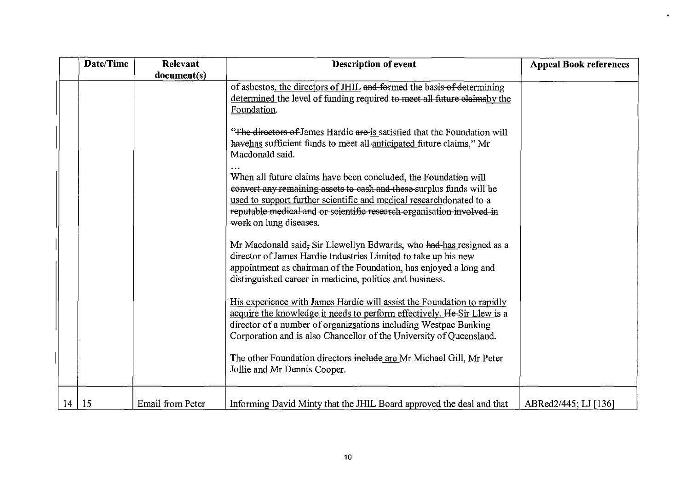| Date/Time | Relevant         | <b>Description of event</b>                                                                                                                                                                                                                                                                                        | <b>Appeal Book references</b> |
|-----------|------------------|--------------------------------------------------------------------------------------------------------------------------------------------------------------------------------------------------------------------------------------------------------------------------------------------------------------------|-------------------------------|
|           | document(s)      |                                                                                                                                                                                                                                                                                                                    |                               |
|           |                  | of asbestos, the directors of JHIL and formed the basis of determining<br>determined the level of funding required to meet all future claims by the<br>Foundation.                                                                                                                                                 |                               |
|           |                  | "The directors of James Hardie are is satisfied that the Foundation will<br>havehas sufficient funds to meet all-anticipated future claims," Mr<br>Macdonald said.                                                                                                                                                 |                               |
|           |                  | When all future claims have been concluded, the Foundation will<br>convert any remaining assets to eash and these-surplus funds will be<br>used to support further scientific and medical research donated to a<br>reputable medical and or scientific research organisation involved in<br>work on lung diseases. |                               |
|           |                  | Mr Macdonald said, Sir Llewellyn Edwards, who had-has resigned as a<br>director of James Hardie Industries Limited to take up his new<br>appointment as chairman of the Foundation, has enjoyed a long and<br>distinguished career in medicine, politics and business.                                             |                               |
|           |                  | His experience with James Hardie will assist the Foundation to rapidly<br>acquire the knowledge it needs to perform effectively. He Sir Llew is a<br>director of a number of organizsations including Westpac Banking<br>Corporation and is also Chancellor of the University of Queensland.                       |                               |
|           |                  | The other Foundation directors include are Mr Michael Gill, Mr Peter<br>Jollie and Mr Dennis Cooper.                                                                                                                                                                                                               |                               |
| 14 15     | Email from Peter | Informing David Minty that the JHIL Board approved the deal and that                                                                                                                                                                                                                                               | ABRed2/445; LJ [136]          |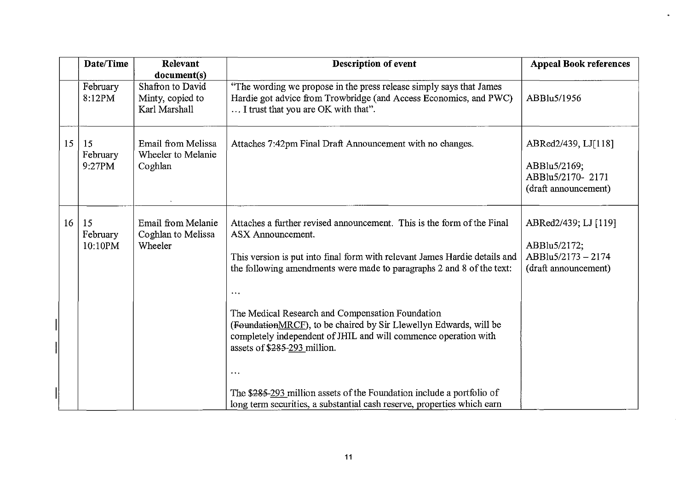|    | Date/Time                 | Relevant                                                             | <b>Description of event</b>                                                                                                                                                                                                                                                                                                                                                                                                                                                                            | <b>Appeal Book references</b>                                                    |
|----|---------------------------|----------------------------------------------------------------------|--------------------------------------------------------------------------------------------------------------------------------------------------------------------------------------------------------------------------------------------------------------------------------------------------------------------------------------------------------------------------------------------------------------------------------------------------------------------------------------------------------|----------------------------------------------------------------------------------|
|    | February<br>8:12PM        | document(s)<br>Shafron to David<br>Minty, copied to<br>Karl Marshall | "The wording we propose in the press release simply says that James<br>Hardie got advice from Trowbridge (and Access Economics, and PWC)<br>I trust that you are OK with that".                                                                                                                                                                                                                                                                                                                        | ABBlu5/1956                                                                      |
| 15 | 15<br>February<br>9:27PM  | Email from Melissa<br>Wheeler to Melanie<br>Coghlan                  | Attaches 7:42pm Final Draft Announcement with no changes.                                                                                                                                                                                                                                                                                                                                                                                                                                              | ABRed2/439, LJ[118]<br>ABBlu5/2169;<br>ABBlu5/2170-2171<br>(draft announcement)  |
| 16 | 15<br>February<br>10:10PM | Email from Melanie<br>Coghlan to Melissa<br>Wheeler                  | Attaches a further revised announcement. This is the form of the Final<br>ASX Announcement.<br>This version is put into final form with relevant James Hardie details and<br>the following amendments were made to paragraphs 2 and 8 of the text:<br>$\cdots$<br>The Medical Research and Compensation Foundation<br>(FoundationMRCF), to be chaired by Sir Llewellyn Edwards, will be<br>completely independent of JHIL and will commence operation with<br>assets of \$285-293 million.<br>$\ldots$ | ABRed2/439; LJ [119]<br>ABBlu5/2172;<br>ABBlu5/2173-2174<br>(draft announcement) |
|    |                           |                                                                      | The \$285-293 million assets of the Foundation include a portfolio of<br>long term securities, a substantial cash reserve, properties which earn                                                                                                                                                                                                                                                                                                                                                       |                                                                                  |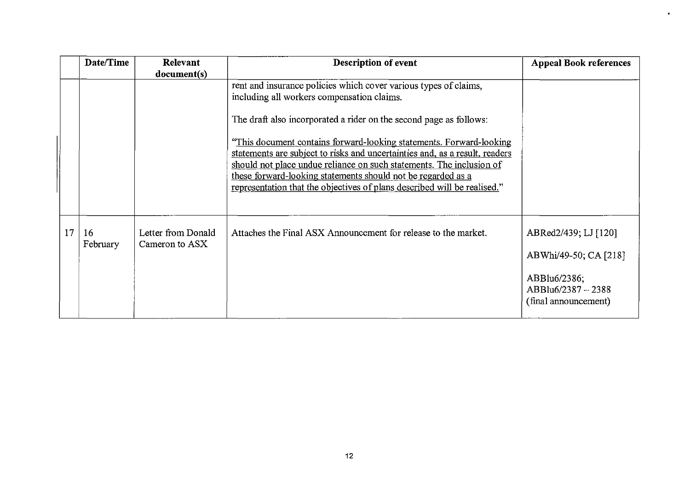|    | Date/Time      | Relevant                             | <b>Description of event</b>                                                                                                                                                                                                                                                                                                                                                                                                                                                                                                                                    | <b>Appeal Book references</b>                                                                               |
|----|----------------|--------------------------------------|----------------------------------------------------------------------------------------------------------------------------------------------------------------------------------------------------------------------------------------------------------------------------------------------------------------------------------------------------------------------------------------------------------------------------------------------------------------------------------------------------------------------------------------------------------------|-------------------------------------------------------------------------------------------------------------|
|    |                | document(s)                          | rent and insurance policies which cover various types of claims,<br>including all workers compensation claims.<br>The draft also incorporated a rider on the second page as follows:<br>"This document contains forward-looking statements. Forward-looking<br>statements are subject to risks and uncertainties and, as a result, readers<br>should not place undue reliance on such statements. The inclusion of<br>these forward-looking statements should not be regarded as a<br>representation that the objectives of plans described will be realised." |                                                                                                             |
| 17 | 16<br>February | Letter from Donald<br>Cameron to ASX | Attaches the Final ASX Announcement for release to the market.                                                                                                                                                                                                                                                                                                                                                                                                                                                                                                 | ABRed2/439; LJ [120]<br>ABWhi/49-50; CA [218]<br>ABBlu6/2386;<br>ABBlu6/2387 - 2388<br>(final announcement) |

 $\bullet$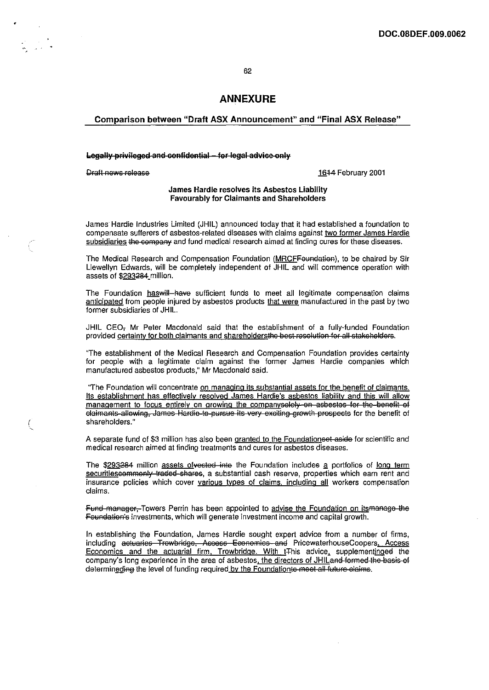62

### **ANNEXURE**

#### Comparison between "Draft ASX Announcement" and "Final ASX Release"

### Legally privileged and confidential - for legal advice only

**Draft news release** 16-14 February 2001

 $\int$ 

#### James Hardie resolves its Asbestos Liability Favourably for Claimants and Shareholders

James Hardie Industries Limited (JHIL) announced today that it had established a foundation to compensate sufferers of asbestos·related diseases with claims against two former James Hardie subsidiaries the company and fund medical research aimed at finding cures for these diseases.

The Medical Research and Compensation Foundation (MRCFFeundation), to be chaired by Sir Llewellyn Edwards, will be completely independent of JHIL and will commence operation with assets of \$293284\_million.

The Foundation haswill have sufficient funds to meet all legitimate compensation claims anticipated from people injured by asbestos products that were manufactured in the past by two former subsidiaries of JHIL.

JHIL CEO, Mr Peter Macdonald said that the establishment of a fully-funded Foundation provided certainty for both claimants and shareholdersthe best resolution for all stakeholders.

"The establishment of the Medical Research and Compensation Foundation provides certainty for people with a legitimate claim against the former James Hardie companies which manufactured asbestos products," Mr Macdonald said.

"The Foundation will concentrate on managing its substantial assets for the benefit of claimants. Its establishment has effectively resolved James Hardie's asbestos liability and this will allow management to focus entirely on growing the companyselely on asbestes for the benefit of elaimants allowing, James Hardie to pursue its very exciting growth prospects for the benefit of shareholders."

A separate fund of \$3 million has also been granted to the Foundationset aside for scientific and medical research aimed at finding treatments and cures for asbestos diseases.

The \$293284 million assets of vested inte the Foundation includes a portfolios of long term securitiescommonly traded shares, a substantial cash reserve, properties which earn rent and insurance policies which cover various types of claims, including all workers compensation claims.

Fund manager, Towers Perrin has been appointed to advise the Foundation on its manage the Foundation's investments, which will generate investment income and capital growth.

In establishing the Foundation, James Hardie sought expert advice from a number of firms, including actuaries Trowbridge, Access Economics and PricewaterhouseCoopers. Access Economics and the actuarial firm. Trowbridge. With tThis advice, supplementinged the company's long experience in the area of asbestos, the directors of JHILand formed the basis of determineding the level of funding required by the Foundationte meet all future claims.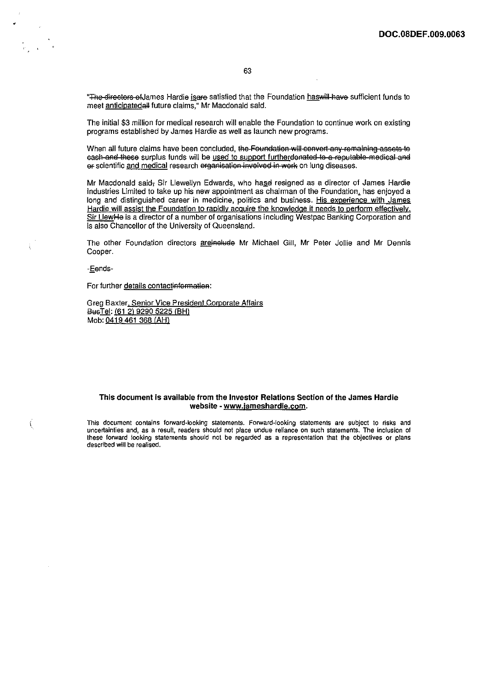"The directors of James Hardie is are satisfied that the Foundation has will have sufficient funds to meet anticipatedall future claims," Mr Macdonald said.

The initial \$3 million for medical research will enable the Foundation to continue work on existing programs established by James Hardie as well as launch new programs.

When all future claims have been concluded, the Foundation will convert any remaining assets to eash and these surplus funds will be used to support furtherdenated to a reputable medical and of scientific and medical research erganisation involved in work on lung diseases.

Mr Macdonald said, Sir Llewellyn Edwards, who has dresigned as a director of James Hardie Industries Limited to take up his new appointment as chairman of the Foundation, has enjoyed a long and distinguished career in medicine, politics and business. His experience with James Hardie will assist the Foundation to rapidly acquire the knowledge it needs to perform effectively. Sir LlewMe is a director of a number of organisations including Westpac Banking Corporation and is also Chancellor of the University of Queensland.

The other Foundation directors areinelude Mr Michael Gill, Mr Peter Jollie and Mr Dennis Cooper.

-£ends-

 $\label{eq:1} \begin{array}{ll} \mathbf{r} & \mathbf{r} \\ \mathbf{r} & \mathbf{r} \end{array}$ 

ŧ

**K** 

For further details contactinformation:

Greg Baxter, Senior Vice President Corporate Affairs BusTel: (61 2) 9290 5225 (BH) Mob: 0419 461 368 (AH)

#### This document is available from the Investor Relations Section of the James Hardie website - www.jameshardie.com.

**This document contains forward-looking statements. Forward-looking statements are subject to risks and uncertainties and, as a result, readers should not place undue reliance on such statements. The inclusion of these forward looking statements should not be regarded as a representation that the objectives or plans described will be realised.**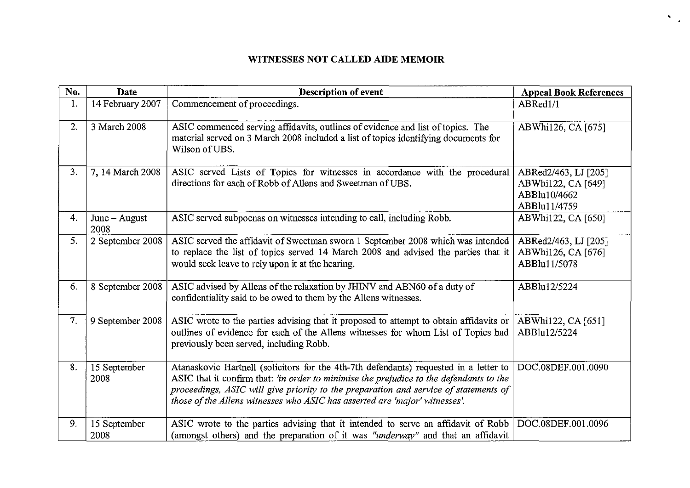# **WITNESSES NOT CALLED AIDE MEMOIR**

 $\mathcal{R}_{\mathcal{A}^{\text{out}}}$ 

| No. | <b>Date</b>             | <b>Description of event</b>                                                                                                                                                                                                                                                                                                                             | <b>Appeal Book References</b>                                              |
|-----|-------------------------|---------------------------------------------------------------------------------------------------------------------------------------------------------------------------------------------------------------------------------------------------------------------------------------------------------------------------------------------------------|----------------------------------------------------------------------------|
| 1.  | 14 February 2007        | Commencement of proceedings.                                                                                                                                                                                                                                                                                                                            | ABRed1/1                                                                   |
| 2.  | 3 March 2008            | ASIC commenced serving affidavits, outlines of evidence and list of topics. The<br>material served on 3 March 2008 included a list of topics identifying documents for<br>Wilson of UBS.                                                                                                                                                                | ABWhi126, CA [675]                                                         |
| 3.  | 7, 14 March 2008        | ASIC served Lists of Topics for witnesses in accordance with the procedural<br>directions for each of Robb of Allens and Sweetman of UBS.                                                                                                                                                                                                               | ABRed2/463, LJ [205]<br>ABWhi122, CA [649]<br>ABBlu10/4662<br>ABBlu11/4759 |
| 4.  | $June - August$<br>2008 | ASIC served subpoenas on witnesses intending to call, including Robb.                                                                                                                                                                                                                                                                                   | ABWhi122, CA [650]                                                         |
| 5.  | 2 September 2008        | ASIC served the affidavit of Sweetman sworn 1 September 2008 which was intended<br>to replace the list of topics served 14 March 2008 and advised the parties that it<br>would seek leave to rely upon it at the hearing.                                                                                                                               | ABRed2/463, LJ [205]<br>ABWhi126, CA [676]<br>ABBlu11/5078                 |
| 6.  | 8 September 2008        | ASIC advised by Allens of the relaxation by JHINV and ABN60 of a duty of<br>confidentiality said to be owed to them by the Allens witnesses.                                                                                                                                                                                                            | ABBlu12/5224                                                               |
| 7.  | 9 September 2008        | ASIC wrote to the parties advising that it proposed to attempt to obtain affidavits or<br>outlines of evidence for each of the Allens witnesses for whom List of Topics had<br>previously been served, including Robb.                                                                                                                                  | ABWhi122, CA [651]<br>ABBlu12/5224                                         |
| 8.  | 15 September<br>2008    | Atanaskovic Hartnell (solicitors for the 4th-7th defendants) requested in a letter to<br>ASIC that it confirm that: 'in order to minimise the prejudice to the defendants to the<br>proceedings, ASIC will give priority to the preparation and service of statements of<br>those of the Allens witnesses who ASIC has asserted are 'major' witnesses'. | DOC.08DEF.001.0090                                                         |
| 9.  | 15 September<br>2008    | ASIC wrote to the parties advising that it intended to serve an affidavit of Robb   DOC.08DEF.001.0096<br>(amongst others) and the preparation of it was "underway" and that an affidavit                                                                                                                                                               |                                                                            |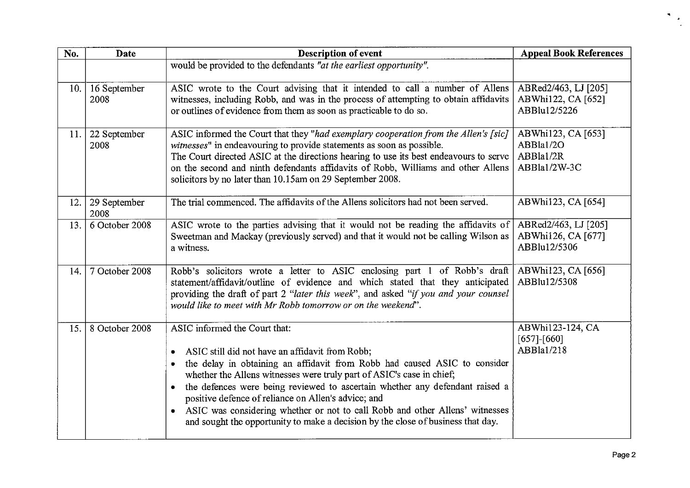| No.  | Date                             | <b>Description of event</b>                                                                                                                                                                                                                                                                                                                                                                                                                                                                                                                       | <b>Appeal Book References</b>                                |
|------|----------------------------------|---------------------------------------------------------------------------------------------------------------------------------------------------------------------------------------------------------------------------------------------------------------------------------------------------------------------------------------------------------------------------------------------------------------------------------------------------------------------------------------------------------------------------------------------------|--------------------------------------------------------------|
|      |                                  | would be provided to the defendants "at the earliest opportunity".                                                                                                                                                                                                                                                                                                                                                                                                                                                                                |                                                              |
| 10.  | 16 September<br>2008             | ASIC wrote to the Court advising that it intended to call a number of Allens<br>witnesses, including Robb, and was in the process of attempting to obtain affidavits<br>or outlines of evidence from them as soon as practicable to do so.                                                                                                                                                                                                                                                                                                        | ABRed2/463, LJ [205]<br>ABWhi122, CA [652]<br>ABBlu12/5226   |
|      | 11. $\vert$ 22 September<br>2008 | ASIC informed the Court that they "had exemplary cooperation from the Allen's [sic]<br>witnesses" in endeavouring to provide statements as soon as possible.<br>The Court directed ASIC at the directions hearing to use its best endeavours to serve<br>on the second and ninth defendants affidavits of Robb, Williams and other Allens<br>solicitors by no later than 10.15am on 29 September 2008.                                                                                                                                            | ABWhi123, CA [653]<br>ABBla1/2O<br>ABBla1/2R<br>ABBla1/2W-3C |
| 12.1 | 29 September<br>2008             | The trial commenced. The affidavits of the Allens solicitors had not been served.                                                                                                                                                                                                                                                                                                                                                                                                                                                                 | ABWhi123, CA [654]                                           |
| 13.  | 6 October 2008                   | ASIC wrote to the parties advising that it would not be reading the affidavits of<br>Sweetman and Mackay (previously served) and that it would not be calling Wilson as<br>a witness.                                                                                                                                                                                                                                                                                                                                                             | ABRed2/463, LJ [205]<br>ABWhi126, CA [677]<br>ABBlu12/5306   |
| 14.  | 7 October 2008                   | Robb's solicitors wrote a letter to ASIC enclosing part 1 of Robb's draft<br>statement/affidavit/outline of evidence and which stated that they anticipated<br>providing the draft of part 2 "later this week", and asked "if you and your counsel<br>would like to meet with Mr Robb tomorrow or on the weekend".                                                                                                                                                                                                                                | ABWhi123, CA [656]<br>ABBlu12/5308                           |
| 15.  | 8 October 2008                   | ASIC informed the Court that:<br>ASIC still did not have an affidavit from Robb;<br>the delay in obtaining an affidavit from Robb had caused ASIC to consider<br>whether the Allens witnesses were truly part of ASIC's case in chief;<br>the defences were being reviewed to ascertain whether any defendant raised a<br>positive defence of reliance on Allen's advice; and<br>ASIC was considering whether or not to call Robb and other Allens' witnesses<br>and sought the opportunity to make a decision by the close of business that day. | ABWhi123-124, CA<br>$[657]$ - $[660]$<br>ABBla1/218          |

 $\ddot{\phantom{a}}$